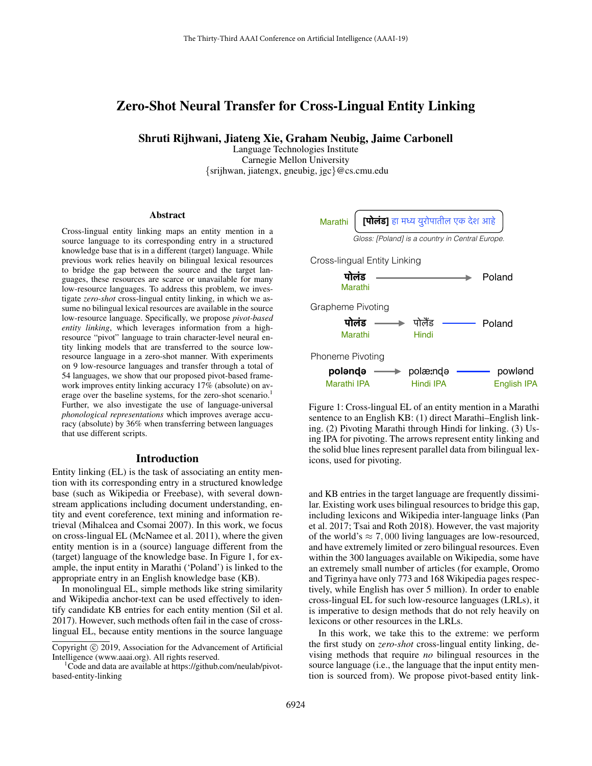# Zero-Shot Neural Transfer for Cross-Lingual Entity Linking

Shruti Rijhwani, Jiateng Xie, Graham Neubig, Jaime Carbonell

Language Technologies Institute Carnegie Mellon University {srijhwan, jiatengx, gneubig, jgc}@cs.cmu.edu

#### Abstract

Cross-lingual entity linking maps an entity mention in a source language to its corresponding entry in a structured knowledge base that is in a different (target) language. While previous work relies heavily on bilingual lexical resources to bridge the gap between the source and the target languages, these resources are scarce or unavailable for many low-resource languages. To address this problem, we investigate *zero-shot* cross-lingual entity linking, in which we assume no bilingual lexical resources are available in the source low-resource language. Specifically, we propose *pivot-based entity linking*, which leverages information from a highresource "pivot" language to train character-level neural entity linking models that are transferred to the source lowresource language in a zero-shot manner. With experiments on 9 low-resource languages and transfer through a total of 54 languages, we show that our proposed pivot-based framework improves entity linking accuracy 17% (absolute) on average over the baseline systems, for the zero-shot scenario.<sup>1</sup> Further, we also investigate the use of language-universal *phonological representations* which improves average accuracy (absolute) by 36% when transferring between languages that use different scripts.

# Introduction

Entity linking (EL) is the task of associating an entity mention with its corresponding entry in a structured knowledge base (such as Wikipedia or Freebase), with several downstream applications including document understanding, entity and event coreference, text mining and information retrieval (Mihalcea and Csomai 2007). In this work, we focus on cross-lingual EL (McNamee et al. 2011), where the given entity mention is in a (source) language different from the (target) language of the knowledge base. In Figure 1, for example, the input entity in Marathi ('Poland') is linked to the appropriate entry in an English knowledge base (KB).

In monolingual EL, simple methods like string similarity and Wikipedia anchor-text can be used effectively to identify candidate KB entries for each entity mention (Sil et al. 2017). However, such methods often fail in the case of crosslingual EL, because entity mentions in the source language



Figure 1: Cross-lingual EL of an entity mention in a Marathi sentence to an English KB: (1) direct Marathi–English linking. (2) Pivoting Marathi through Hindi for linking. (3) Using IPA for pivoting. The arrows represent entity linking and the solid blue lines represent parallel data from bilingual lexicons, used for pivoting.

and KB entries in the target language are frequently dissimilar. Existing work uses bilingual resources to bridge this gap, including lexicons and Wikipedia inter-language links (Pan et al. 2017; Tsai and Roth 2018). However, the vast majority of the world's  $\approx 7,000$  living languages are low-resourced, and have extremely limited or zero bilingual resources. Even within the 300 languages available on Wikipedia, some have an extremely small number of articles (for example, Oromo and Tigrinya have only 773 and 168 Wikipedia pages respectively, while English has over 5 million). In order to enable cross-lingual EL for such low-resource languages (LRLs), it is imperative to design methods that do not rely heavily on lexicons or other resources in the LRLs.

In this work, we take this to the extreme: we perform the first study on *zero-shot* cross-lingual entity linking, devising methods that require *no* bilingual resources in the source language (i.e., the language that the input entity mention is sourced from). We propose pivot-based entity link-

Copyright © 2019, Association for the Advancement of Artificial Intelligence (www.aaai.org). All rights reserved.

<sup>1</sup>Code and data are available at https://github.com/neulab/pivotbased-entity-linking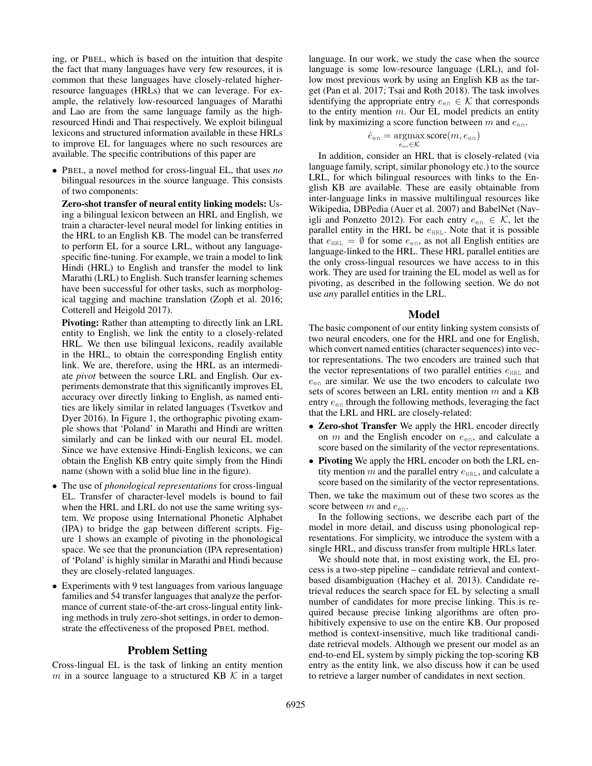ing, or PBEL, which is based on the intuition that despite the fact that many languages have very few resources, it is common that these languages have closely-related higherresource languages (HRLs) that we can leverage. For example, the relatively low-resourced languages of Marathi and Lao are from the same language family as the highresourced Hindi and Thai respectively. We exploit bilingual lexicons and structured information available in these HRLs to improve EL for languages where no such resources are available. The specific contributions of this paper are

• PBEL, a novel method for cross-lingual EL, that uses *no* bilingual resources in the source language. This consists of two components:

Zero-shot transfer of neural entity linking models: Using a bilingual lexicon between an HRL and English, we train a character-level neural model for linking entities in the HRL to an English KB. The model can be transferred to perform EL for a source LRL, without any languagespecific fine-tuning. For example, we train a model to link Hindi (HRL) to English and transfer the model to link Marathi (LRL) to English. Such transfer learning schemes have been successful for other tasks, such as morphological tagging and machine translation (Zoph et al. 2016; Cotterell and Heigold 2017).

Pivoting: Rather than attempting to directly link an LRL entity to English, we link the entity to a closely-related HRL. We then use bilingual lexicons, readily available in the HRL, to obtain the corresponding English entity link. We are, therefore, using the HRL as an intermediate *pivot* between the source LRL and English. Our experiments demonstrate that this significantly improves EL accuracy over directly linking to English, as named entities are likely similar in related languages (Tsvetkov and Dyer 2016). In Figure 1, the orthographic pivoting example shows that 'Poland' in Marathi and Hindi are written similarly and can be linked with our neural EL model. Since we have extensive Hindi-English lexicons, we can obtain the English KB entry quite simply from the Hindi name (shown with a solid blue line in the figure).

- The use of *phonological representations* for cross-lingual EL. Transfer of character-level models is bound to fail when the HRL and LRL do not use the same writing system. We propose using International Phonetic Alphabet (IPA) to bridge the gap between different scripts. Figure 1 shows an example of pivoting in the phonological space. We see that the pronunciation (IPA representation) of 'Poland' is highly similar in Marathi and Hindi because they are closely-related languages.
- Experiments with 9 test languages from various language families and 54 transfer languages that analyze the performance of current state-of-the-art cross-lingual entity linking methods in truly zero-shot settings, in order to demonstrate the effectiveness of the proposed PBEL method.

# Problem Setting

Cross-lingual EL is the task of linking an entity mention m in a source language to a structured KB  $K$  in a target

language. In our work, we study the case when the source language is some low-resource language (LRL), and follow most previous work by using an English KB as the target (Pan et al. 2017; Tsai and Roth 2018). The task involves identifying the appropriate entry  $e_{en} \in \mathcal{K}$  that corresponds to the entity mention  $m$ . Our EL model predicts an entity link by maximizing a score function between  $m$  and  $e_{en}$ .

$$
\hat{e}_{\text{en}} = \operatornamewithlimits{argmax}_{e_{\text{en}} \in \mathcal{K}} \text{score}(m, e_{\text{en}})
$$

In addition, consider an HRL that is closely-related (via language family, script, similar phonology etc.) to the source LRL, for which bilingual resources with links to the English KB are available. These are easily obtainable from inter-language links in massive multilingual resources like Wikipedia, DBPedia (Auer et al. 2007) and BabelNet (Navigli and Ponzetto 2012). For each entry  $e_{en} \in \mathcal{K}$ , let the parallel entity in the HRL be  $e_{HRL}$ . Note that it is possible that  $e_{HRL} = \emptyset$  for some  $e_{en}$ , as not all English entities are language-linked to the HRL. These HRL parallel entities are the only cross-lingual resources we have access to in this work. They are used for training the EL model as well as for pivoting, as described in the following section. We do not use *any* parallel entities in the LRL.

#### Model

The basic component of our entity linking system consists of two neural encoders, one for the HRL and one for English, which convert named entities (character sequences) into vector representations. The two encoders are trained such that the vector representations of two parallel entities  $e_{HRL}$  and  $e_{en}$  are similar. We use the two encoders to calculate two sets of scores between an LRL entity mention  $m$  and a KB entry  $e_{en}$  through the following methods, leveraging the fact that the LRL and HRL are closely-related:

- Zero-shot Transfer We apply the HRL encoder directly on  $m$  and the English encoder on  $e_{en}$ , and calculate a score based on the similarity of the vector representations.
- Pivoting We apply the HRL encoder on both the LRL entity mention m and the parallel entry  $e_{\text{HRL}}$ , and calculate a score based on the similarity of the vector representations.

Then, we take the maximum out of these two scores as the score between  $m$  and  $e_{en}$ .

In the following sections, we describe each part of the model in more detail, and discuss using phonological representations. For simplicity, we introduce the system with a single HRL, and discuss transfer from multiple HRLs later.

We should note that, in most existing work, the EL process is a two-step pipeline – candidate retrieval and contextbased disambiguation (Hachey et al. 2013). Candidate retrieval reduces the search space for EL by selecting a small number of candidates for more precise linking. This is required because precise linking algorithms are often prohibitively expensive to use on the entire KB. Our proposed method is context-insensitive, much like traditional candidate retrieval models. Although we present our model as an end-to-end EL system by simply picking the top-scoring KB entry as the entity link, we also discuss how it can be used to retrieve a larger number of candidates in next section.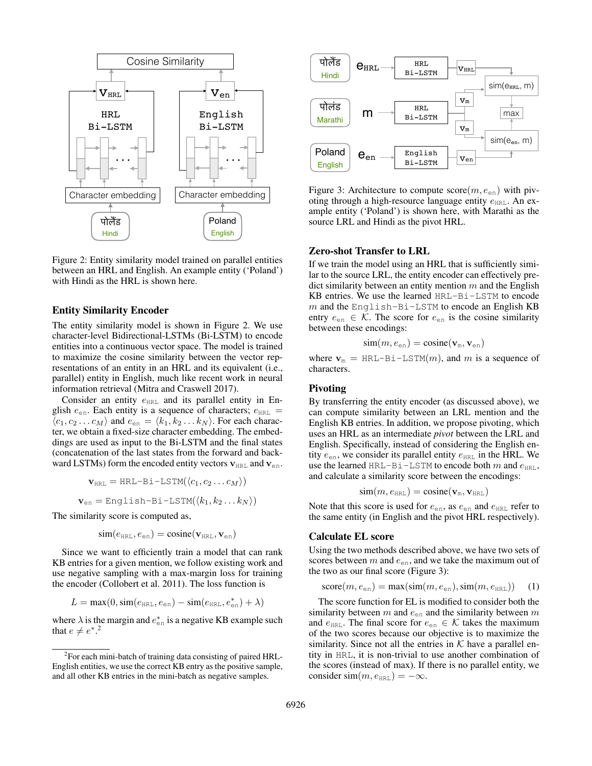

Figure 2: Entity similarity model trained on parallel entities between an HRL and English. An example entity ('Poland') with Hindi as the HRL is shown here.

#### Entity Similarity Encoder

The entity similarity model is shown in Figure 2. We use character-level Bidirectional-LSTMs (Bi-LSTM) to encode entities into a continuous vector space. The model is trained to maximize the cosine similarity between the vector representations of an entity in an HRL and its equivalent (i.e., parallel) entity in English, much like recent work in neural information retrieval (Mitra and Craswell 2017).

Consider an entity  $e_{HRL}$  and its parallel entity in English  $e_{en}$ . Each entity is a sequence of characters;  $e_{HRL}$  =  $\langle c_1, c_2 \dots c_M \rangle$  and  $e_{en} = \langle k_1, k_2 \dots k_N \rangle$ . For each character, we obtain a fixed-size character embedding. The embeddings are used as input to the Bi-LSTM and the final states (concatenation of the last states from the forward and backward LSTMs) form the encoded entity vectors  $v_{HRL}$  and  $v_{en}$ .

$$
\mathbf{v}_{\text{HRL}} = \text{HRL-Bi-LSTM}(\langle c_1, c_2 \dots c_M \rangle)
$$

$$
\mathbf{v}_{\text{en}} = \text{English-Bi-LSTM}(\langle k_1, k_2 \dots k_N \rangle)
$$

The similarity score is computed as,

$$
\text{sim}(e_{\texttt{HRL}},e_{\texttt{en}})=\text{cosine}(\mathbf{v}_{\texttt{HRL}},\mathbf{v}_{\texttt{en}})
$$

Since we want to efficiently train a model that can rank KB entries for a given mention, we follow existing work and use negative sampling with a max-margin loss for training the encoder (Collobert et al. 2011). The loss function is

$$
L = \max(0, \text{sim}(e_{\text{HRL}}, e_{\text{en}}) - \text{sim}(e_{\text{HRL}}, e_{\text{en}}^*) + \lambda)
$$

where  $\lambda$  is the margin and  $e_{en}^*$  is a negative KB example such that  $e \neq e^*$ <sup>2</sup>



Figure 3: Architecture to compute  $score(m, e_{en})$  with pivoting through a high-resource language entity  $e_{HRL}$ . An example entity ('Poland') is shown here, with Marathi as the source LRL and Hindi as the pivot HRL.

## Zero-shot Transfer to LRL

If we train the model using an HRL that is sufficiently similar to the source LRL, the entity encoder can effectively predict similarity between an entity mention  $m$  and the English KB entries. We use the learned HRL-Bi-LSTM to encode  $m$  and the English-Bi-LSTM to encode an English KB entry  $e_{en} \in \mathcal{K}$ . The score for  $e_{en}$  is the cosine similarity between these encodings:

$$
\text{sim}(m, e_{\text{en}}) = \text{cosine}(\mathbf{v}_{\text{m}}, \mathbf{v}_{\text{en}})
$$

where  $v_m$  = HRL-Bi-LSTM(m), and m is a sequence of characters.

#### Pivoting

By transferring the entity encoder (as discussed above), we can compute similarity between an LRL mention and the English KB entries. In addition, we propose pivoting, which uses an HRL as an intermediate *pivot* between the LRL and English. Specifically, instead of considering the English entity  $e_{en}$ , we consider its parallel entity  $e_{HRL}$  in the HRL. We use the learned HRL-Bi-LSTM to encode both  $m$  and  $e_{HRL}$ , and calculate a similarity score between the encodings:

$$
\text{sim}(m, e_\texttt{HRL}) = \text{cosine}(\mathbf{v}_\texttt{m}, \mathbf{v}_\texttt{HRL})
$$

Note that this score is used for  $e_{en}$ , as  $e_{en}$  and  $e_{HRL}$  refer to the same entity (in English and the pivot HRL respectively).

# Calculate EL score

Using the two methods described above, we have two sets of scores between  $m$  and  $e_{en}$ , and we take the maximum out of the two as our final score (Figure 3):

$$
score(m, e_{en}) = max(sin(m, e_{en}), sim(m, e_{HRL})) \quad (1)
$$

The score function for EL is modified to consider both the similarity between m and  $e_{en}$  and the similarity between m and  $e_{HRL}$ . The final score for  $e_{en} \in \mathcal{K}$  takes the maximum of the two scores because our objective is to maximize the similarity. Since not all the entries in  $K$  have a parallel entity in HRL, it is non-trivial to use another combination of the scores (instead of max). If there is no parallel entity, we consider  $\text{sim}(m, e_{\text{HRL}}) = -\infty$ .

<sup>&</sup>lt;sup>2</sup>For each mini-batch of training data consisting of paired HRL-English entities, we use the correct KB entry as the positive sample, and all other KB entries in the mini-batch as negative samples.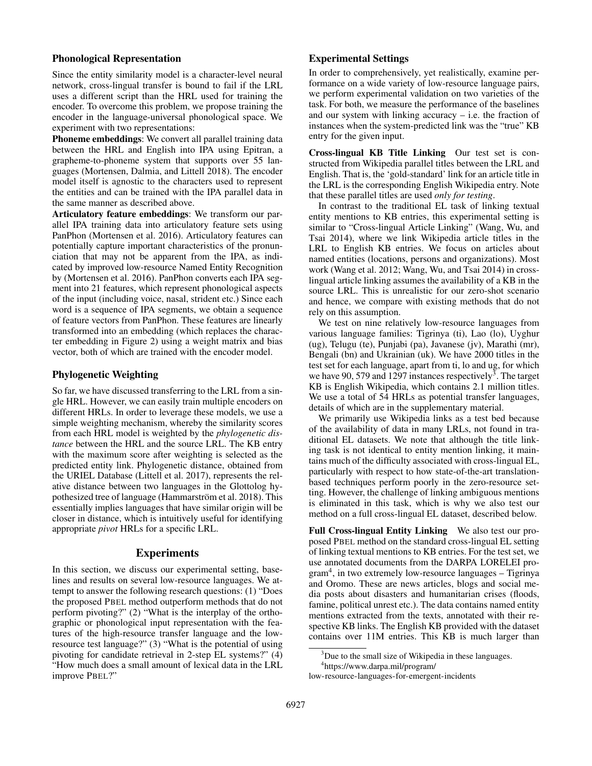# Phonological Representation

Since the entity similarity model is a character-level neural network, cross-lingual transfer is bound to fail if the LRL uses a different script than the HRL used for training the encoder. To overcome this problem, we propose training the encoder in the language-universal phonological space. We experiment with two representations:

Phoneme embeddings: We convert all parallel training data between the HRL and English into IPA using Epitran, a grapheme-to-phoneme system that supports over 55 languages (Mortensen, Dalmia, and Littell 2018). The encoder model itself is agnostic to the characters used to represent the entities and can be trained with the IPA parallel data in the same manner as described above.

Articulatory feature embeddings: We transform our parallel IPA training data into articulatory feature sets using PanPhon (Mortensen et al. 2016). Articulatory features can potentially capture important characteristics of the pronunciation that may not be apparent from the IPA, as indicated by improved low-resource Named Entity Recognition by (Mortensen et al. 2016). PanPhon converts each IPA segment into 21 features, which represent phonological aspects of the input (including voice, nasal, strident etc.) Since each word is a sequence of IPA segments, we obtain a sequence of feature vectors from PanPhon. These features are linearly transformed into an embedding (which replaces the character embedding in Figure 2) using a weight matrix and bias vector, both of which are trained with the encoder model.

# Phylogenetic Weighting

So far, we have discussed transferring to the LRL from a single HRL. However, we can easily train multiple encoders on different HRLs. In order to leverage these models, we use a simple weighting mechanism, whereby the similarity scores from each HRL model is weighted by the *phylogenetic distance* between the HRL and the source LRL. The KB entry with the maximum score after weighting is selected as the predicted entity link. Phylogenetic distance, obtained from the URIEL Database (Littell et al. 2017), represents the relative distance between two languages in the Glottolog hypothesized tree of language (Hammarström et al. 2018). This essentially implies languages that have similar origin will be closer in distance, which is intuitively useful for identifying appropriate *pivot* HRLs for a specific LRL.

# Experiments

In this section, we discuss our experimental setting, baselines and results on several low-resource languages. We attempt to answer the following research questions: (1) "Does the proposed PBEL method outperform methods that do not perform pivoting?" (2) "What is the interplay of the orthographic or phonological input representation with the features of the high-resource transfer language and the lowresource test language?" (3) "What is the potential of using pivoting for candidate retrieval in 2-step EL systems?" (4) "How much does a small amount of lexical data in the LRL improve PBEL?"

# Experimental Settings

In order to comprehensively, yet realistically, examine performance on a wide variety of low-resource language pairs, we perform experimental validation on two varieties of the task. For both, we measure the performance of the baselines and our system with linking accuracy  $-$  i.e. the fraction of instances when the system-predicted link was the "true" KB entry for the given input.

Cross-lingual KB Title Linking Our test set is constructed from Wikipedia parallel titles between the LRL and English. That is, the 'gold-standard' link for an article title in the LRL is the corresponding English Wikipedia entry. Note that these parallel titles are used *only for testing*.

In contrast to the traditional EL task of linking textual entity mentions to KB entries, this experimental setting is similar to "Cross-lingual Article Linking" (Wang, Wu, and Tsai 2014), where we link Wikipedia article titles in the LRL to English KB entries. We focus on articles about named entities (locations, persons and organizations). Most work (Wang et al. 2012; Wang, Wu, and Tsai 2014) in crosslingual article linking assumes the availability of a KB in the source LRL. This is unrealistic for our zero-shot scenario and hence, we compare with existing methods that do not rely on this assumption.

We test on nine relatively low-resource languages from various language families: Tigrinya (ti), Lao (lo), Uyghur (ug), Telugu (te), Punjabi (pa), Javanese (jv), Marathi (mr), Bengali (bn) and Ukrainian (uk). We have 2000 titles in the test set for each language, apart from ti, lo and ug, for which we have 90, 579 and 1297 instances respectively<sup>3</sup>. The target KB is English Wikipedia, which contains 2.1 million titles. We use a total of 54 HRLs as potential transfer languages, details of which are in the supplementary material.

We primarily use Wikipedia links as a test bed because of the availability of data in many LRLs, not found in traditional EL datasets. We note that although the title linking task is not identical to entity mention linking, it maintains much of the difficulty associated with cross-lingual EL, particularly with respect to how state-of-the-art translationbased techniques perform poorly in the zero-resource setting. However, the challenge of linking ambiguous mentions is eliminated in this task, which is why we also test our method on a full cross-lingual EL dataset, described below.

Full Cross-lingual Entity Linking We also test our proposed PBEL method on the standard cross-lingual EL setting of linking textual mentions to KB entries. For the test set, we use annotated documents from the DARPA LORELEI program<sup>4</sup> , in two extremely low-resource languages – Tigrinya and Oromo. These are news articles, blogs and social media posts about disasters and humanitarian crises (floods, famine, political unrest etc.). The data contains named entity mentions extracted from the texts, annotated with their respective KB links. The English KB provided with the dataset contains over 11M entries. This KB is much larger than

low-resource-languages-for-emergent-incidents

<sup>&</sup>lt;sup>3</sup>Due to the small size of Wikipedia in these languages.

<sup>4</sup> https://www.darpa.mil/program/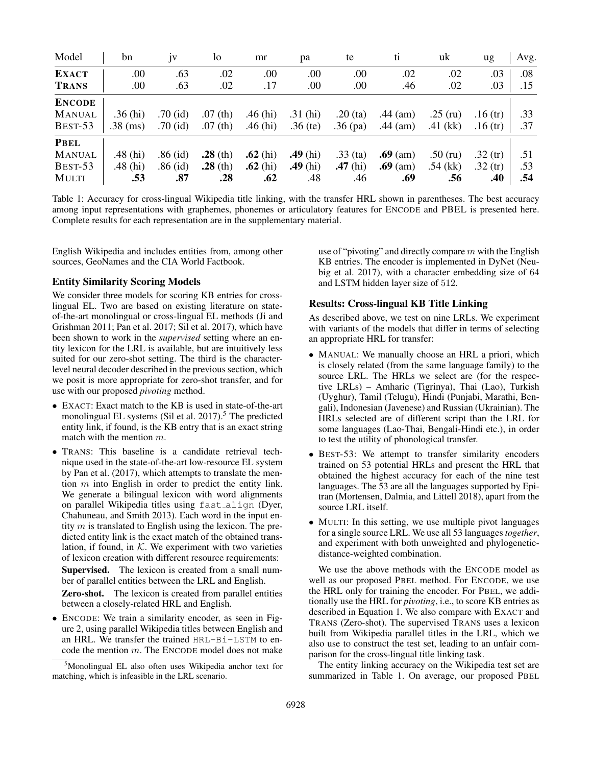| Model         | bn         | 1V         | 10         | mr         | рa         | te         | tı         | uk         | ug        | Avg. |
|---------------|------------|------------|------------|------------|------------|------------|------------|------------|-----------|------|
| <b>EXACT</b>  | .00        | .63        | .02        | .00        | .00        | .00        | .02        | .02        | .03       | .08  |
| <b>TRANS</b>  | .00        | .63        | .02        | .17        | .00.       | .00        | .46        | .02        | .03       | .15  |
| <b>ENCODE</b> |            |            |            |            |            |            |            |            |           |      |
| <b>MANUAL</b> | .36 $(hi)$ | $.70$ (id) | $.07$ (th) | .46 $(hi)$ | .31 $(hi)$ | $.20$ (ta) | .44 $(am)$ | $.25$ (ru) | .16 $(r)$ | .33  |
| BEST-53       | $.38$ (ms) | $.70$ (id) | $.07$ (th) | .46 $(hi)$ | $.36$ (te) | $.36$ (pa) | .44 $(am)$ | .41 $(kk)$ | .16 $(r)$ | .37  |
| <b>PBEL</b>   |            |            |            |            |            |            |            |            |           |      |
| <b>MANUAL</b> | $.48$ (hi) | $.86$ (id) | $.28$ (th) | $.62$ (hi) | $.49$ (hi) | $.33$ (ta) | $.69$ (am) | $.50$ (ru) | .32 $(r)$ | .51  |
| BEST-53       | $.48$ (hi) | $.86$ (id) | $.28$ (th) | $.62$ (hi) | $.49$ (hi) | $.47$ (hi) | $.69$ (am) | $.54$ (kk) | .32 $(r)$ | .53  |
| <b>MULTI</b>  | .53        | .87        | .28        | .62        | .48        | .46        | .69        | .56        | .40       | .54  |

Table 1: Accuracy for cross-lingual Wikipedia title linking, with the transfer HRL shown in parentheses. The best accuracy among input representations with graphemes, phonemes or articulatory features for ENCODE and PBEL is presented here. Complete results for each representation are in the supplementary material.

English Wikipedia and includes entities from, among other sources, GeoNames and the CIA World Factbook.

## Entity Similarity Scoring Models

We consider three models for scoring KB entries for crosslingual EL. Two are based on existing literature on stateof-the-art monolingual or cross-lingual EL methods (Ji and Grishman 2011; Pan et al. 2017; Sil et al. 2017), which have been shown to work in the *supervised* setting where an entity lexicon for the LRL is available, but are intuitively less suited for our zero-shot setting. The third is the characterlevel neural decoder described in the previous section, which we posit is more appropriate for zero-shot transfer, and for use with our proposed *pivoting* method.

- EXACT: Exact match to the KB is used in state-of-the-art monolingual EL systems (Sil et al.  $2017$ ).<sup>5</sup> The predicted entity link, if found, is the KB entry that is an exact string match with the mention m.
- TRANS: This baseline is a candidate retrieval technique used in the state-of-the-art low-resource EL system by Pan et al. (2017), which attempts to translate the mention m into English in order to predict the entity link. We generate a bilingual lexicon with word alignments on parallel Wikipedia titles using fast align (Dyer, Chahuneau, and Smith 2013). Each word in the input entity  $m$  is translated to English using the lexicon. The predicted entity link is the exact match of the obtained translation, if found, in  $K$ . We experiment with two varieties of lexicon creation with different resource requirements:

Supervised. The lexicon is created from a small number of parallel entities between the LRL and English.

Zero-shot. The lexicon is created from parallel entities between a closely-related HRL and English.

• ENCODE: We train a similarity encoder, as seen in Figure 2, using parallel Wikipedia titles between English and an HRL. We transfer the trained HRL-Bi-LSTM to encode the mention  $m$ . The ENCODE model does not make

use of "pivoting" and directly compare  $m$  with the English KB entries. The encoder is implemented in DyNet (Neubig et al. 2017), with a character embedding size of 64 and LSTM hidden layer size of 512.

#### Results: Cross-lingual KB Title Linking

As described above, we test on nine LRLs. We experiment with variants of the models that differ in terms of selecting an appropriate HRL for transfer:

- MANUAL: We manually choose an HRL a priori, which is closely related (from the same language family) to the source LRL. The HRLs we select are (for the respective LRLs) – Amharic (Tigrinya), Thai (Lao), Turkish (Uyghur), Tamil (Telugu), Hindi (Punjabi, Marathi, Bengali), Indonesian (Javenese) and Russian (Ukrainian). The HRLs selected are of different script than the LRL for some languages (Lao-Thai, Bengali-Hindi etc.), in order to test the utility of phonological transfer.
- BEST-53: We attempt to transfer similarity encoders trained on 53 potential HRLs and present the HRL that obtained the highest accuracy for each of the nine test languages. The 53 are all the languages supported by Epitran (Mortensen, Dalmia, and Littell 2018), apart from the source LRL itself.
- MULTI: In this setting, we use multiple pivot languages for a single source LRL. We use all 53 languages *together*, and experiment with both unweighted and phylogeneticdistance-weighted combination.

We use the above methods with the ENCODE model as well as our proposed PBEL method. For ENCODE, we use the HRL only for training the encoder. For PBEL, we additionally use the HRL for *pivoting*, i.e., to score KB entries as described in Equation 1. We also compare with EXACT and TRANS (Zero-shot). The supervised TRANS uses a lexicon built from Wikipedia parallel titles in the LRL, which we also use to construct the test set, leading to an unfair comparison for the cross-lingual title linking task.

The entity linking accuracy on the Wikipedia test set are summarized in Table 1. On average, our proposed PBEL

<sup>5</sup>Monolingual EL also often uses Wikipedia anchor text for matching, which is infeasible in the LRL scenario.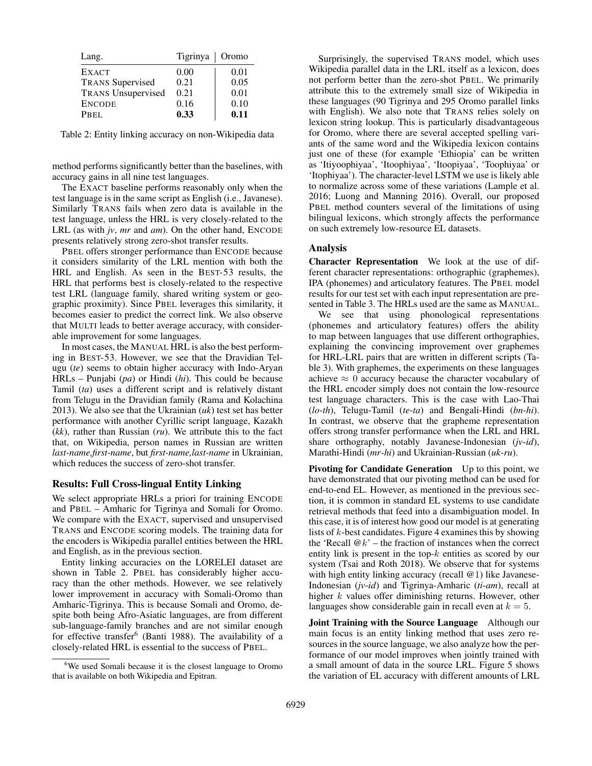| Lang.                     | Tigrinya   Oromo |      |
|---------------------------|------------------|------|
| <b>EXACT</b>              | 0.00             | 0.01 |
| <b>TRANS</b> Supervised   | 0.21             | 0.05 |
| <b>TRANS Unsupervised</b> | 0.21             | 0.01 |
| <b>ENCODE</b>             | 0.16             | 0.10 |
| PBEL                      | 0.33             | 0.11 |

Table 2: Entity linking accuracy on non-Wikipedia data

method performs significantly better than the baselines, with accuracy gains in all nine test languages.

The EXACT baseline performs reasonably only when the test language is in the same script as English (i.e., Javanese). Similarly TRANS fails when zero data is available in the test language, unless the HRL is very closely-related to the LRL (as with *jv*, *mr* and *am*). On the other hand, ENCODE presents relatively strong zero-shot transfer results.

PBEL offers stronger performance than ENCODE because it considers similarity of the LRL mention with both the HRL and English. As seen in the BEST-53 results, the HRL that performs best is closely-related to the respective test LRL (language family, shared writing system or geographic proximity). Since PBEL leverages this similarity, it becomes easier to predict the correct link. We also observe that MULTI leads to better average accuracy, with considerable improvement for some languages.

In most cases, the MANUAL HRL is also the best performing in BEST-53. However, we see that the Dravidian Telugu (*te*) seems to obtain higher accuracy with Indo-Aryan HRLs – Punjabi (*pa*) or Hindi (*hi*). This could be because Tamil (*ta*) uses a different script and is relatively distant from Telugu in the Dravidian family (Rama and Kolachina 2013). We also see that the Ukrainian (*uk*) test set has better performance with another Cyrillic script language, Kazakh (*kk*), rather than Russian (*ru*). We attribute this to the fact that, on Wikipedia, person names in Russian are written *last-name,first-name*, but *first-name,last-name* in Ukrainian, which reduces the success of zero-shot transfer.

#### Results: Full Cross-lingual Entity Linking

We select appropriate HRLs a priori for training ENCODE and PBEL – Amharic for Tigrinya and Somali for Oromo. We compare with the EXACT, supervised and unsupervised TRANS and ENCODE scoring models. The training data for the encoders is Wikipedia parallel entities between the HRL and English, as in the previous section.

Entity linking accuracies on the LORELEI dataset are shown in Table 2. PBEL has considerably higher accuracy than the other methods. However, we see relatively lower improvement in accuracy with Somali-Oromo than Amharic-Tigrinya. This is because Somali and Oromo, despite both being Afro-Asiatic languages, are from different sub-language-family branches and are not similar enough for effective transfer<sup>6</sup> (Banti 1988). The availability of a closely-related HRL is essential to the success of PBEL.

Surprisingly, the supervised TRANS model, which uses Wikipedia parallel data in the LRL itself as a lexicon, does not perform better than the zero-shot PBEL. We primarily attribute this to the extremely small size of Wikipedia in these languages (90 Tigrinya and 295 Oromo parallel links with English). We also note that TRANS relies solely on lexicon string lookup. This is particularly disadvantageous for Oromo, where there are several accepted spelling variants of the same word and the Wikipedia lexicon contains just one of these (for example 'Ethiopia' can be written as 'Itiyoophiyaa', 'Itoophiyaa', 'Itoopiyaa', 'Toophiyaa' or 'Itophiyaa'). The character-level LSTM we use is likely able to normalize across some of these variations (Lample et al. 2016; Luong and Manning 2016). Overall, our proposed PBEL method counters several of the limitations of using bilingual lexicons, which strongly affects the performance on such extremely low-resource EL datasets.

# Analysis

Character Representation We look at the use of different character representations: orthographic (graphemes), IPA (phonemes) and articulatory features. The PBEL model results for our test set with each input representation are presented in Table 3. The HRLs used are the same as MANUAL.

We see that using phonological representations (phonemes and articulatory features) offers the ability to map between languages that use different orthographies, explaining the convincing improvement over graphemes for HRL-LRL pairs that are written in different scripts (Table 3). With graphemes, the experiments on these languages achieve  $\approx 0$  accuracy because the character vocabulary of the HRL encoder simply does not contain the low-resource test language characters. This is the case with Lao-Thai (*lo*-*th*), Telugu-Tamil (*te*-*ta*) and Bengali-Hindi (*bn*-*hi*). In contrast, we observe that the grapheme representation offers strong transfer performance when the LRL and HRL share orthography, notably Javanese-Indonesian (*jv*-*id*), Marathi-Hindi (*mr*-*hi*) and Ukrainian-Russian (*uk*-*ru*).

Pivoting for Candidate Generation Up to this point, we have demonstrated that our pivoting method can be used for end-to-end EL. However, as mentioned in the previous section, it is common in standard EL systems to use candidate retrieval methods that feed into a disambiguation model. In this case, it is of interest how good our model is at generating lists of  $k$ -best candidates. Figure 4 examines this by showing the 'Recall  $@k$ ' – the fraction of instances when the correct entity link is present in the top- $k$  entities as scored by our system (Tsai and Roth 2018). We observe that for systems with high entity linking accuracy (recall @1) like Javanese-Indonesian (*jv*-*id*) and Tigrinya-Amharic (*ti*-*am*), recall at higher k values offer diminishing returns. However, other languages show considerable gain in recall even at  $k = 5$ .

Joint Training with the Source Language Although our main focus is an entity linking method that uses zero resources in the source language, we also analyze how the performance of our model improves when jointly trained with a small amount of data in the source LRL. Figure 5 shows the variation of EL accuracy with different amounts of LRL

<sup>&</sup>lt;sup>6</sup>We used Somali because it is the closest language to Oromo that is available on both Wikipedia and Epitran.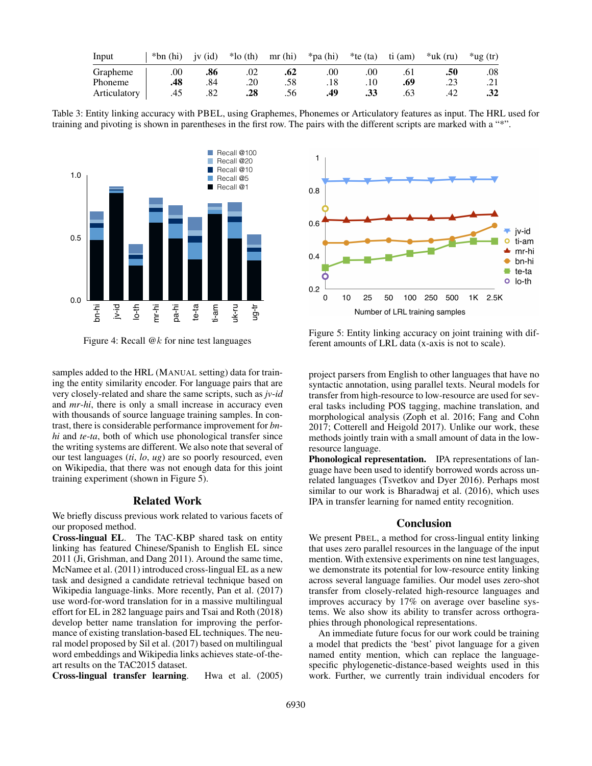| Input        | $*bn(hi)$ | jv $(id)$ | $*$ lo (th) | mr(hi) | *pa (hi) | $*$ te (ta) | ti (am) | $*$ uk (ru) | $*$ ug (tr) |
|--------------|-----------|-----------|-------------|--------|----------|-------------|---------|-------------|-------------|
| Grapheme     | .00       | .86       | .02         | .62    | .00      | .00         | .61     | .50         | .08         |
| Phoneme      | .48       | .84       | .20         | .58    |          |             | .69     | .23         | .21         |
| Articulatory | .45       | .82       | .28         | .56    | .49      | .33         | .63     | .42         | .32         |

Table 3: Entity linking accuracy with PBEL, using Graphemes, Phonemes or Articulatory features as input. The HRL used for training and pivoting is shown in parentheses in the first row. The pairs with the different scripts are marked with a "\*".





samples added to the HRL (MANUAL setting) data for training the entity similarity encoder. For language pairs that are very closely-related and share the same scripts, such as *jv*-*id* and *mr*-*hi*, there is only a small increase in accuracy even with thousands of source language training samples. In contrast, there is considerable performance improvement for *bnhi* and *te*-*ta*, both of which use phonological transfer since the writing systems are different. We also note that several of our test languages (*ti*, *lo*, *ug*) are so poorly resourced, even on Wikipedia, that there was not enough data for this joint training experiment (shown in Figure 5).

#### Related Work

We briefly discuss previous work related to various facets of our proposed method.

Cross-lingual EL. The TAC-KBP shared task on entity linking has featured Chinese/Spanish to English EL since 2011 (Ji, Grishman, and Dang 2011). Around the same time, McNamee et al. (2011) introduced cross-lingual EL as a new task and designed a candidate retrieval technique based on Wikipedia language-links. More recently, Pan et al. (2017) use word-for-word translation for in a massive multilingual effort for EL in 282 language pairs and Tsai and Roth (2018) develop better name translation for improving the performance of existing translation-based EL techniques. The neural model proposed by Sil et al. (2017) based on multilingual word embeddings and Wikipedia links achieves state-of-theart results on the TAC2015 dataset.

Cross-lingual transfer learning. Hwa et al. (2005)



Figure 5: Entity linking accuracy on joint training with different amounts of LRL data (x-axis is not to scale).

project parsers from English to other languages that have no syntactic annotation, using parallel texts. Neural models for transfer from high-resource to low-resource are used for several tasks including POS tagging, machine translation, and morphological analysis (Zoph et al. 2016; Fang and Cohn 2017; Cotterell and Heigold 2017). Unlike our work, these methods jointly train with a small amount of data in the lowresource language.

Phonological representation. IPA representations of language have been used to identify borrowed words across unrelated languages (Tsvetkov and Dyer 2016). Perhaps most similar to our work is Bharadwaj et al. (2016), which uses IPA in transfer learning for named entity recognition.

#### Conclusion

We present PBEL, a method for cross-lingual entity linking that uses zero parallel resources in the language of the input mention. With extensive experiments on nine test languages, we demonstrate its potential for low-resource entity linking across several language families. Our model uses zero-shot transfer from closely-related high-resource languages and improves accuracy by 17% on average over baseline systems. We also show its ability to transfer across orthographies through phonological representations.

An immediate future focus for our work could be training a model that predicts the 'best' pivot language for a given named entity mention, which can replace the languagespecific phylogenetic-distance-based weights used in this work. Further, we currently train individual encoders for